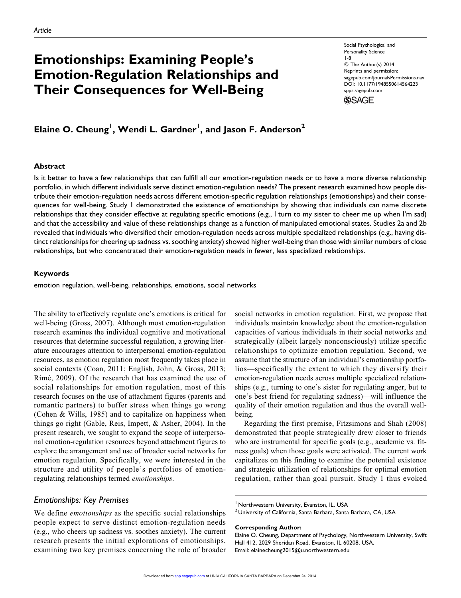# Emotionships: Examining People's Emotion-Regulation Relationships and Their Consequences for Well-Being

Social Psychological and Personality Science 1-8 © The Author(s) 2014 Reprints and permission: [sagepub.com/journalsPermissions.nav](http://www.sagepub.com/journalsPermissions.nav) DOI: 10.1177/1948550614564223 [spps.sagepub.com](http://spps.sagepub.com)

**SSAGE** 

# Elaine O. Cheung<sup>1</sup>, Wendi L. Gardner<sup>1</sup>, and Jason F. Anderson<sup>2</sup>

#### Abstract

Is it better to have a few relationships that can fulfill all our emotion-regulation needs or to have a more diverse relationship portfolio, in which different individuals serve distinct emotion-regulation needs? The present research examined how people distribute their emotion-regulation needs across different emotion-specific regulation relationships (emotionships) and their consequences for well-being. Study 1 demonstrated the existence of emotionships by showing that individuals can name discrete relationships that they consider effective at regulating specific emotions (e.g., I turn to my sister to cheer me up when I'm sad) and that the accessibility and value of these relationships change as a function of manipulated emotional states. Studies 2a and 2b revealed that individuals who diversified their emotion-regulation needs across multiple specialized relationships (e.g., having distinct relationships for cheering up sadness vs. soothing anxiety) showed higher well-being than those with similar numbers of close relationships, but who concentrated their emotion-regulation needs in fewer, less specialized relationships.

#### Keywords

emotion regulation, well-being, relationships, emotions, social networks

The ability to effectively regulate one's emotions is critical for well-being (Gross, 2007). Although most emotion-regulation research examines the individual cognitive and motivational resources that determine successful regulation, a growing literature encourages attention to interpersonal emotion-regulation resources, as emotion regulation most frequently takes place in social contexts (Coan, 2011; English, John, & Gross, 2013; Rimé, 2009). Of the research that has examined the use of social relationships for emotion regulation, most of this research focuses on the use of attachment figures (parents and romantic partners) to buffer stress when things go wrong (Cohen & Wills, 1985) and to capitalize on happiness when things go right (Gable, Reis, Impett, & Asher, 2004). In the present research, we sought to expand the scope of interpersonal emotion-regulation resources beyond attachment figures to explore the arrangement and use of broader social networks for emotion regulation. Specifically, we were interested in the structure and utility of people's portfolios of emotionregulating relationships termed emotionships.

## Emotionships: Key Premises

We define *emotionships* as the specific social relationships people expect to serve distinct emotion-regulation needs (e.g., who cheers up sadness vs. soothes anxiety). The current research presents the initial explorations of emotionships, examining two key premises concerning the role of broader

social networks in emotion regulation. First, we propose that individuals maintain knowledge about the emotion-regulation capacities of various individuals in their social networks and strategically (albeit largely nonconsciously) utilize specific relationships to optimize emotion regulation. Second, we assume that the structure of an individual's emotionship portfolios—specifically the extent to which they diversify their emotion-regulation needs across multiple specialized relationships (e.g., turning to one's sister for regulating anger, but to one's best friend for regulating sadness)—will influence the quality of their emotion regulation and thus the overall wellbeing.

Regarding the first premise, Fitzsimons and Shah (2008) demonstrated that people strategically drew closer to friends who are instrumental for specific goals (e.g., academic vs. fitness goals) when those goals were activated. The current work capitalizes on this finding to examine the potential existence and strategic utilization of relationships for optimal emotion regulation, rather than goal pursuit. Study 1 thus evoked

<sup>&</sup>lt;sup>1</sup> Northwestern University, Evanston, IL, USA

 $^{2}$ University of California, Santa Barbara, Santa Barbara, CA, USA

Corresponding Author:

Elaine O. Cheung, Department of Psychology, Northwestern University, Swift Hall 412, 2029 Sheridan Road, Evanston, IL 60208, USA. Email: elainecheung2015@u.northwestern.edu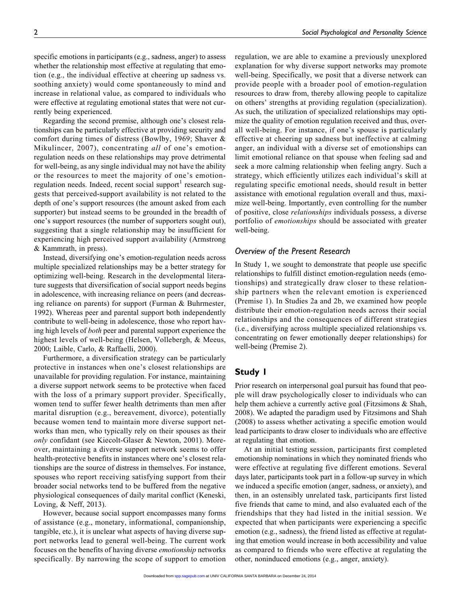specific emotions in participants (e.g., sadness, anger) to assess whether the relationship most effective at regulating that emotion (e.g., the individual effective at cheering up sadness vs. soothing anxiety) would come spontaneously to mind and increase in relational value, as compared to individuals who were effective at regulating emotional states that were not currently being experienced.

Regarding the second premise, although one's closest relationships can be particularly effective at providing security and comfort during times of distress (Bowlby, 1969; Shaver & Mikulincer, 2007), concentrating all of one's emotionregulation needs on these relationships may prove detrimental for well-being, as any single individual may not have the ability or the resources to meet the majority of one's emotionregulation needs. Indeed, recent social support<sup>1</sup> research suggests that perceived-support availability is not related to the depth of one's support resources (the amount asked from each supporter) but instead seems to be grounded in the breadth of one's support resources (the number of supporters sought out), suggesting that a single relationship may be insufficient for experiencing high perceived support availability (Armstrong & Kammrath, in press).

Instead, diversifying one's emotion-regulation needs across multiple specialized relationships may be a better strategy for optimizing well-being. Research in the developmental literature suggests that diversification of social support needs begins in adolescence, with increasing reliance on peers (and decreasing reliance on parents) for support (Furman & Buhrmester, 1992). Whereas peer and parental support both independently contribute to well-being in adolescence, those who report having high levels of both peer and parental support experience the highest levels of well-being (Helsen, Vollebergh, & Meeus, 2000; Laible, Carlo, & Raffaelli, 2000).

Furthermore, a diversification strategy can be particularly protective in instances when one's closest relationships are unavailable for providing regulation. For instance, maintaining a diverse support network seems to be protective when faced with the loss of a primary support provider. Specifically, women tend to suffer fewer health detriments than men after marital disruption (e.g., bereavement, divorce), potentially because women tend to maintain more diverse support networks than men, who typically rely on their spouses as their only confidant (see Kiecolt-Glaser & Newton, 2001). Moreover, maintaining a diverse support network seems to offer health-protective benefits in instances where one's closest relationships are the source of distress in themselves. For instance, spouses who report receiving satisfying support from their broader social networks tend to be buffered from the negative physiological consequences of daily marital conflict (Keneski, Loving, & Neff, 2013).

However, because social support encompasses many forms of assistance (e.g., monetary, informational, companionship, tangible, etc.), it is unclear what aspects of having diverse support networks lead to general well-being. The current work focuses on the benefits of having diverse emotionship networks specifically. By narrowing the scope of support to emotion regulation, we are able to examine a previously unexplored explanation for why diverse support networks may promote well-being. Specifically, we posit that a diverse network can provide people with a broader pool of emotion-regulation resources to draw from, thereby allowing people to capitalize on others' strengths at providing regulation (specialization). As such, the utilization of specialized relationships may optimize the quality of emotion regulation received and thus, overall well-being. For instance, if one's spouse is particularly effective at cheering up sadness but ineffective at calming anger, an individual with a diverse set of emotionships can limit emotional reliance on that spouse when feeling sad and seek a more calming relationship when feeling angry. Such a strategy, which efficiently utilizes each individual's skill at regulating specific emotional needs, should result in better assistance with emotional regulation overall and thus, maximize well-being. Importantly, even controlling for the number of positive, close relationships individuals possess, a diverse portfolio of *emotionships* should be associated with greater well-being.

#### Overview of the Present Research

In Study 1, we sought to demonstrate that people use specific relationships to fulfill distinct emotion-regulation needs (emotionships) and strategically draw closer to these relationship partners when the relevant emotion is experienced (Premise 1). In Studies 2a and 2b, we examined how people distribute their emotion-regulation needs across their social relationships and the consequences of different strategies (i.e., diversifying across multiple specialized relationships vs. concentrating on fewer emotionally deeper relationships) for well-being (Premise 2).

# Study 1

Prior research on interpersonal goal pursuit has found that people will draw psychologically closer to individuals who can help them achieve a currently active goal (Fitzsimons & Shah, 2008). We adapted the paradigm used by Fitzsimons and Shah (2008) to assess whether activating a specific emotion would lead participants to draw closer to individuals who are effective at regulating that emotion.

At an initial testing session, participants first completed emotionship nominations in which they nominated friends who were effective at regulating five different emotions. Several days later, participants took part in a follow-up survey in which we induced a specific emotion (anger, sadness, or anxiety), and then, in an ostensibly unrelated task, participants first listed five friends that came to mind, and also evaluated each of the friendships that they had listed in the initial session. We expected that when participants were experiencing a specific emotion (e.g., sadness), the friend listed as effective at regulating that emotion would increase in both accessibility and value as compared to friends who were effective at regulating the other, noninduced emotions (e.g., anger, anxiety).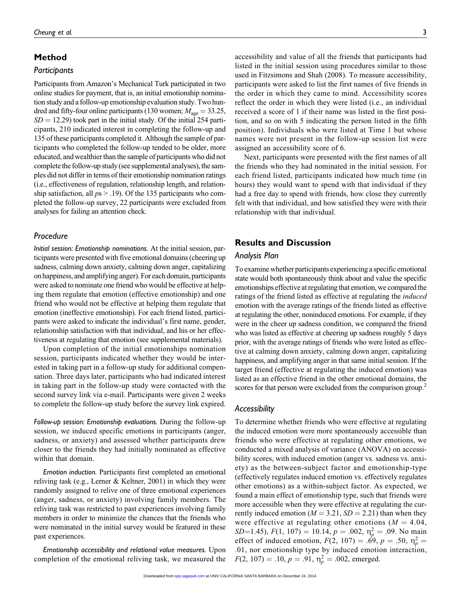# Method

#### Participants

Participants from Amazon's Mechanical Turk participated in two online studies for payment, that is, an initial emotionship nomination study and a follow-up emotionship evaluation study. Two hundred and fifty-four online participants (130 women;  $M_{\text{age}} = 33.25$ ,  $SD = 12.29$ ) took part in the initial study. Of the initial 254 participants, 210 indicated interest in completing the follow-up and 135 of these participants completed it. Although the sample of participants who completed the follow-up tended to be older, more educated, and wealthier than the sample of participants who did not complete the follow-up study (see supplemental analyses), the samples did not differ in terms of their emotionship nomination ratings (i.e., effectiveness of regulation, relationship length, and relationship satisfaction, all  $ps > .19$ ). Of the 135 participants who completed the follow-up survey, 22 participants were excluded from analyses for failing an attention check.

#### Procedure

Initial session: Emotionship nominations. At the initial session, participants were presented with five emotional domains (cheering up sadness, calming down anxiety, calming down anger, capitalizing on happiness, and amplifying anger). For each domain, participants were asked to nominate one friend who would be effective at helping them regulate that emotion (effective emotionship) and one friend who would not be effective at helping them regulate that emotion (ineffective emotionship). For each friend listed, participants were asked to indicate the individual's first name, gender, relationship satisfaction with that individual, and his or her effectiveness at regulating that emotion (see supplemental materials).

Upon completion of the initial emotionships nomination session, participants indicated whether they would be interested in taking part in a follow-up study for additional compensation. Three days later, participants who had indicated interest in taking part in the follow-up study were contacted with the second survey link via e-mail. Participants were given 2 weeks to complete the follow-up study before the survey link expired.

Follow-up session: Emotionship evaluations. During the follow-up session, we induced specific emotions in participants (anger, sadness, or anxiety) and assessed whether participants drew closer to the friends they had initially nominated as effective within that domain.

Emotion induction. Participants first completed an emotional reliving task (e.g., Lerner & Keltner, 2001) in which they were randomly assigned to relive one of three emotional experiences (anger, sadness, or anxiety) involving family members. The reliving task was restricted to past experiences involving family members in order to minimize the chances that the friends who were nominated in the initial survey would be featured in these past experiences.

Emotionship accessibility and relational value measures. Upon completion of the emotional reliving task, we measured the accessibility and value of all the friends that participants had listed in the initial session using procedures similar to those used in Fitzsimons and Shah (2008). To measure accessibility, participants were asked to list the first names of five friends in the order in which they came to mind. Accessibility scores reflect the order in which they were listed (i.e., an individual received a score of 1 if their name was listed in the first position, and so on with 5 indicating the person listed in the fifth position). Individuals who were listed at Time 1 but whose names were not present in the follow-up session list were assigned an accessibility score of 6.

Next, participants were presented with the first names of all the friends who they had nominated in the initial session. For each friend listed, participants indicated how much time (in hours) they would want to spend with that individual if they had a free day to spend with friends, how close they currently felt with that individual, and how satisfied they were with their relationship with that individual.

# Results and Discussion

## Analysis Plan

To examine whether participants experiencing a specific emotional state would both spontaneously think about and value the specific emotionships effective at regulating that emotion, we compared the ratings of the friend listed as effective at regulating the *induced* emotion with the average ratings of the friends listed as effective at regulating the other, noninduced emotions. For example, if they were in the cheer up sadness condition, we compared the friend who was listed as effective at cheering up sadness roughly 5 days prior, with the average ratings of friends who were listed as effective at calming down anxiety, calming down anger, capitalizing happiness, and amplifying anger in that same initial session. If the target friend (effective at regulating the induced emotion) was listed as an effective friend in the other emotional domains, the scores for that person were excluded from the comparison group.<sup>2</sup>

#### Accessibility

To determine whether friends who were effective at regulating the induced emotion were more spontaneously accessible than friends who were effective at regulating other emotions, we conducted a mixed analysis of variance (ANOVA) on accessibility scores, with induced emotion (anger vs. sadness vs. anxiety) as the between-subject factor and emotionship-type (effectively regulates induced emotion vs. effectively regulates other emotions) as a within-subject factor. As expected, we found a main effect of emotionship type, such that friends were more accessible when they were effective at regulating the currently induced emotion ( $M = 3.21$ ,  $SD = 2.21$ ) than when they were effective at regulating other emotions ( $M = 4.04$ ,  $SD=1.45$ ),  $F(1, 107) = 10.14$ ,  $p = .002$ ,  $\eta_p^2 = .09$ . No main effect of induced emotion,  $F(2, 107) = .69$ ,  $p = .50$ ,  $\eta_p^2 =$ .01, nor emotionship type by induced emotion interaction,  $F(2, 107) = .10, p = .91, \eta_p^2 = .002$ , emerged.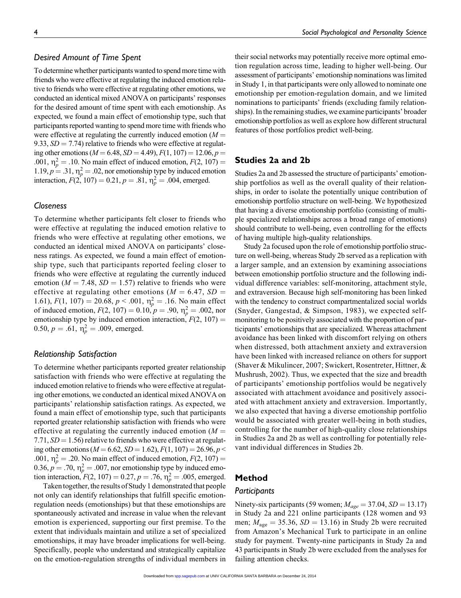# Desired Amount of Time Spent

To determine whether participants wanted to spend more time with friends who were effective at regulating the induced emotion relative to friends who were effective at regulating other emotions, we conducted an identical mixed ANOVA on participants' responses for the desired amount of time spent with each emotionship. As expected, we found a main effect of emotionship type, such that participants reported wanting to spend more time with friends who were effective at regulating the currently induced emotion  $(M =$ 9.33,  $SD = 7.74$ ) relative to friends who were effective at regulating other emotions ( $M = 6.48$ ,  $SD = 4.49$ ),  $F(1, 107) = 12.06$ ,  $p =$ .001,  $\eta_p^2 = .10$ . No main effect of induced emotion,  $F(2, 107) =$ 1.19,  $p = 0.31$ ,  $\eta_p^2 = 0.02$ , nor emotionship type by induced emotion interaction,  $F(2, 107) = 0.21$ ,  $p = .81$ ,  $\eta_p^2 = .004$ , emerged.

#### **Closeness**

To determine whether participants felt closer to friends who were effective at regulating the induced emotion relative to friends who were effective at regulating other emotions, we conducted an identical mixed ANOVA on participants' closeness ratings. As expected, we found a main effect of emotionship type, such that participants reported feeling closer to friends who were effective at regulating the currently induced emotion ( $M = 7.48$ ,  $SD = 1.57$ ) relative to friends who were effective at regulating other emotions ( $M = 6.47$ ,  $SD =$ 1.61),  $F(1, 107) = 20.68$ ,  $p < .001$ ,  $\eta_p^2 = .16$ . No main effect of induced emotion,  $F(2, 107) = 0.10, p = .90, \eta_p^2 = .002$ , nor emotionship type by induced emotion interaction,  $F(2, 107) =$ 0.50,  $p = .61$ ,  $\eta_p^2 = .009$ , emerged.

#### Relationship Satisfaction

To determine whether participants reported greater relationship satisfaction with friends who were effective at regulating the induced emotion relative to friends who were effective at regulating other emotions, we conducted an identical mixed ANOVA on participants' relationship satisfaction ratings. As expected, we found a main effect of emotionship type, such that participants reported greater relationship satisfaction with friends who were effective at regulating the currently induced emotion  $(M =$ 7.71,  $SD = 1.56$ ) relative to friends who were effective at regulating other emotions ( $M = 6.62$ ,  $SD = 1.62$ ),  $F(1, 107) = 26.96$ ,  $p <$ .001,  $\eta_p^2 = .20$ . No main effect of induced emotion,  $F(2, 107) =$ 0.36,  $p = .70$ ,  $\eta_p^2 = .007$ , nor emotionship type by induced emotion interaction,  $F(2, 107) = 0.27$ ,  $p = .76$ ,  $\eta_p^2 = .005$ , emerged.

Taken together, the results of Study 1 demonstrated that people not only can identify relationships that fulfill specific emotionregulation needs (emotionships) but that these emotionships are spontaneously activated and increase in value when the relevant emotion is experienced, supporting our first premise. To the extent that individuals maintain and utilize a set of specialized emotionships, it may have broader implications for well-being. Specifically, people who understand and strategically capitalize on the emotion-regulation strengths of individual members in

their social networks may potentially receive more optimal emotion regulation across time, leading to higher well-being. Our assessment of participants' emotionship nominations was limited in Study 1, in that participants were only allowed to nominate one emotionship per emotion-regulation domain, and we limited nominations to participants' friends (excluding family relationships). In the remaining studies, we examine participants' broader emotionship portfolios as well as explore how different structural features of those portfolios predict well-being.

# Studies 2a and 2b

Studies 2a and 2b assessed the structure of participants' emotionship portfolios as well as the overall quality of their relationships, in order to isolate the potentially unique contribution of emotionship portfolio structure on well-being. We hypothesized that having a diverse emotionship portfolio (consisting of multiple specialized relationships across a broad range of emotions) should contribute to well-being, even controlling for the effects of having multiple high-quality relationships.

Study 2a focused upon the role of emotionship portfolio structure on well-being, whereas Study 2b served as a replication with a larger sample, and an extension by examining associations between emotionship portfolio structure and the following individual difference variables: self-monitoring, attachment style, and extraversion. Because high self-monitoring has been linked with the tendency to construct compartmentalized social worlds (Snyder, Gangestad, & Simpson, 1983), we expected selfmonitoring to be positively associated with the proportion of participants' emotionships that are specialized. Whereas attachment avoidance has been linked with discomfort relying on others when distressed, both attachment anxiety and extraversion have been linked with increased reliance on others for support (Shaver & Mikulincer, 2007; Swickert, Rosentreter, Hittner, & Mushrush, 2002). Thus, we expected that the size and breadth of participants' emotionship portfolios would be negatively associated with attachment avoidance and positively associated with attachment anxiety and extraversion. Importantly, we also expected that having a diverse emotionship portfolio would be associated with greater well-being in both studies, controlling for the number of high-quality close relationships in Studies 2a and 2b as well as controlling for potentially relevant individual differences in Studies 2b.

#### Method

#### **Participants**

Ninety-six participants (59 women;  $M_{age} = 37.04$ ,  $SD = 13.17$ ) in Study 2a and 221 online participants (128 women and 93 men;  $M_{\text{age}} = 35.36$ ,  $SD = 13.16$ ) in Study 2b were recruited from Amazon's Mechanical Turk to participate in an online study for payment. Twenty-nine participants in Study 2a and 43 participants in Study 2b were excluded from the analyses for failing attention checks.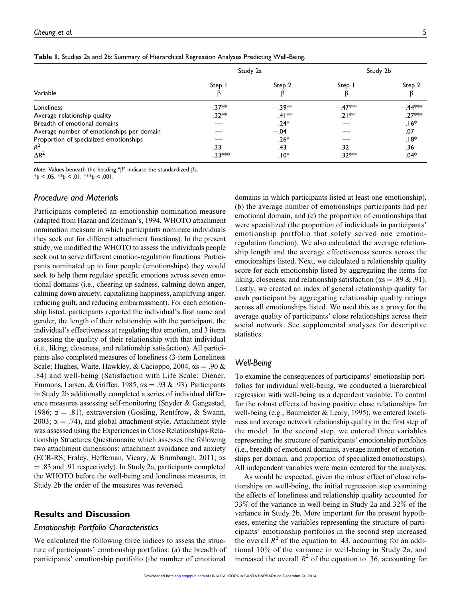|  |  |  |  | Table 1. Studies 2a and 2b: Summary of Hierarchical Regression Analyses Predicting Well-Being. |  |  |  |  |
|--|--|--|--|------------------------------------------------------------------------------------------------|--|--|--|--|
|--|--|--|--|------------------------------------------------------------------------------------------------|--|--|--|--|

|                                           | Study 2a |          |           | Study 2b  |  |
|-------------------------------------------|----------|----------|-----------|-----------|--|
| Variable                                  | Step     | Step 2   | Step      | Step 2    |  |
| Loneliness                                | $-.37**$ | $-.39**$ | $-.47***$ | $-.44***$ |  |
| Average relationship quality              | $.32**$  | $.41**$  | $.21**$   | $.27***$  |  |
| Breadth of emotional domains              |          | $.24*$   |           | $.16*$    |  |
| Average number of emotionships per domain |          | $-.04$   |           | .07       |  |
| Proportion of specialized emotionships    |          | $.26*$   |           | $.18*$    |  |
| $R^2$                                     | .33      | .43      | .32       | .36       |  |
| $\Delta R^2$                              | .33***   | ∗0ا.     | .32***    | $.04*$    |  |

Note. Values beneath the heading " $\beta$ " indicate the standardized  $\beta s$ .

 $*_{p}$  < .05.  $*_{p}$  < .01.  $*_{p}$  < .001.

#### Procedure and Materials

Participants completed an emotionship nomination measure (adapted from Hazan and Zeifman's, 1994, WHOTO attachment nomination measure in which participants nominate individuals they seek out for different attachment functions). In the present study, we modified the WHOTO to assess the individuals people seek out to serve different emotion-regulation functions. Participants nominated up to four people (emotionships) they would seek to help them regulate specific emotions across seven emotional domains (i.e., cheering up sadness, calming down anger, calming down anxiety, capitalizing happiness, amplifying anger, reducing guilt, and reducing embarrassment). For each emotionship listed, participants reported the individual's first name and gender, the length of their relationship with the participant, the individual's effectiveness at regulating that emotion, and 3 items assessing the quality of their relationship with that individual (i.e., liking, closeness, and relationship satisfaction). All participants also completed measures of loneliness (3-item Loneliness Scale; Hughes, Waite, Hawkley, & Cacioppo, 2004,  $\alpha s = .90 \&$ .84) and well-being (Satisfaction with Life Scale; Diener, Emmons, Larsen, & Griffen, 1985,  $\alpha s = .93$  & .93). Participants in Study 2b additionally completed a series of individual difference measures assessing self-monitoring (Snyder & Gangestad, 1986;  $\alpha = .81$ ), extraversion (Gosling, Rentfrow, & Swann, 2003;  $\alpha = .74$ ), and global attachment style. Attachment style was assessed using the Experiences in Close Relationships-Relationship Structures Questionnaire which assesses the following two attachment dimensions: attachment avoidance and anxiety (ECR-RS; Fraley, Heffernan, Vicary,  $\&$  Brumbaugh, 2011;  $\alpha s$  $=$  .83 and .91 respectively). In Study 2a, participants completed the WHOTO before the well-being and loneliness measures, in Study 2b the order of the measures was reversed.

## Results and Discussion

#### Emotionship Portfolio Characteristics

We calculated the following three indices to assess the structure of participants' emotionship portfolios: (a) the breadth of participants' emotionship portfolio (the number of emotional

domains in which participants listed at least one emotionship), (b) the average number of emotionships participants had per emotional domain, and (c) the proportion of emotionships that were specialized (the proportion of individuals in participants' emotionship portfolio that solely served one emotionregulation function). We also calculated the average relationship length and the average effectiveness scores across the emotionships listed. Next, we calculated a relationship quality score for each emotionship listed by aggregating the items for liking, closeness, and relationship satisfaction ( $\alpha s = .89 \& .91$ ). Lastly, we created an index of general relationship quality for each participant by aggregating relationship quality ratings across all emotionships listed. We used this as a proxy for the average quality of participants' close relationships across their social network. See supplemental analyses for descriptive statistics.

## Well-Being

To examine the consequences of participants' emotionship portfolios for individual well-being, we conducted a hierarchical regression with well-being as a dependent variable. To control for the robust effects of having positive close relationships for well-being (e.g., Baumeister & Leary, 1995), we entered loneliness and average network relationship quality in the first step of the model. In the second step, we entered three variables representing the structure of participants' emotionship portfolios (i.e., breadth of emotional domains, average number of emotionships per domain, and proportion of specialized emotionships). All independent variables were mean centered for the analyses.

As would be expected, given the robust effect of close relationships on well-being, the initial regression step examining the effects of loneliness and relationship quality accounted for 33% of the variance in well-being in Study 2a and 32% of the variance in Study 2b. More important for the present hypotheses, entering the variables representing the structure of participants' emotionship portfolios in the second step increased the overall  $R^2$  of the equation to .43, accounting for an additional 10% of the variance in well-being in Study 2a, and increased the overall  $R^2$  of the equation to .36, accounting for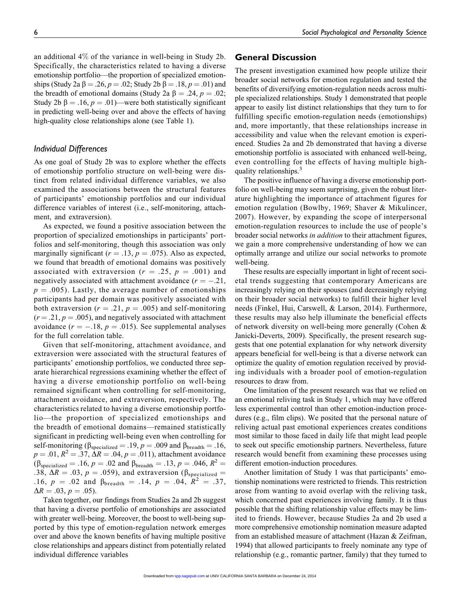an additional 4% of the variance in well-being in Study 2b. Specifically, the characteristics related to having a diverse emotionship portfolio—the proportion of specialized emotionships (Study 2a  $\beta = .26$ ,  $p = .02$ ; Study 2b  $\beta = .18$ ,  $p = .01$ ) and the breadth of emotional domains (Study 2a  $\beta = .24$ ,  $p = .02$ ; Study 2b  $\beta = .16$ ,  $p = .01$ )—were both statistically significant in predicting well-being over and above the effects of having high-quality close relationships alone (see Table 1).

#### Individual Differences

As one goal of Study 2b was to explore whether the effects of emotionship portfolio structure on well-being were distinct from related individual difference variables, we also examined the associations between the structural features of participants' emotionship portfolios and our individual difference variables of interest (i.e., self-monitoring, attachment, and extraversion).

As expected, we found a positive association between the proportion of specialized emotionships in participants' portfolios and self-monitoring, though this association was only marginally significant ( $r = .13$ ,  $p = .075$ ). Also as expected, we found that breadth of emotional domains was positively associated with extraversion ( $r = .25$ ,  $p = .001$ ) and negatively associated with attachment avoidance  $(r = -.21,$  $p = .005$ ). Lastly, the average number of emotionships participants had per domain was positively associated with both extraversion ( $r = .21$ ,  $p = .005$ ) and self-monitoring  $(r = .21, p = .005)$ , and negatively associated with attachment avoidance ( $r = -.18$ ,  $p = .015$ ). See supplemental analyses for the full correlation table.

Given that self-monitoring, attachment avoidance, and extraversion were associated with the structural features of participants' emotionship portfolios, we conducted three separate hierarchical regressions examining whether the effect of having a diverse emotionship portfolio on well-being remained significant when controlling for self-monitoring, attachment avoidance, and extraversion, respectively. The characteristics related to having a diverse emotionship portfolio—the proportion of specialized emotionships and the breadth of emotional domains—remained statistically significant in predicting well-being even when controlling for self-monitoring ( $\beta_{\text{specialized}} = .19$ ,  $p = .009$  and  $\beta_{\text{breadth}} = .16$ ,  $p = .01, R^2 = .37, \Delta R = .04, p = .011$ , attachment avoidance  $(\beta_{\text{specialized}} = .16, p = .02 \text{ and } \beta_{\text{breadth}} = .13, p = .046, R^2 =$ .38,  $\Delta R = .03$ ,  $p = .059$ ), and extraversion ( $\beta_{\text{specialized}} =$ .16,  $p = .02$  and  $\beta_{\text{breadth}} = .14$ ,  $p = .04$ ,  $R^2 = .37$ ,  $\Delta R = .03, p = .05$ ).

Taken together, our findings from Studies 2a and 2b suggest that having a diverse portfolio of emotionships are associated with greater well-being. Moreover, the boost to well-being supported by this type of emotion-regulation network emerges over and above the known benefits of having multiple positive close relationships and appears distinct from potentially related individual difference variables

#### General Discussion

The present investigation examined how people utilize their broader social networks for emotion regulation and tested the benefits of diversifying emotion-regulation needs across multiple specialized relationships. Study 1 demonstrated that people appear to easily list distinct relationships that they turn to for fulfilling specific emotion-regulation needs (emotionships) and, more importantly, that these relationships increase in accessibility and value when the relevant emotion is experienced. Studies 2a and 2b demonstrated that having a diverse emotionship portfolio is associated with enhanced well-being, even controlling for the effects of having multiple highquality relationships.<sup>3</sup>

The positive influence of having a diverse emotionship portfolio on well-being may seem surprising, given the robust literature highlighting the importance of attachment figures for emotion regulation (Bowlby, 1969; Shaver & Mikulincer, 2007). However, by expanding the scope of interpersonal emotion-regulation resources to include the use of people's broader social networks in addition to their attachment figures, we gain a more comprehensive understanding of how we can optimally arrange and utilize our social networks to promote well-being.

These results are especially important in light of recent societal trends suggesting that contemporary Americans are increasingly relying on their spouses (and decreasingly relying on their broader social networks) to fulfill their higher level needs (Finkel, Hui, Carswell, & Larson, 2014). Furthermore, these results may also help illuminate the beneficial effects of network diversity on well-being more generally (Cohen & Janicki-Deverts, 2009). Specifically, the present research suggests that one potential explanation for why network diversity appears beneficial for well-being is that a diverse network can optimize the quality of emotion regulation received by providing individuals with a broader pool of emotion-regulation resources to draw from.

One limitation of the present research was that we relied on an emotional reliving task in Study 1, which may have offered less experimental control than other emotion-induction procedures (e.g., film clips). We posited that the personal nature of reliving actual past emotional experiences creates conditions most similar to those faced in daily life that might lead people to seek out specific emotionship partners. Nevertheless, future research would benefit from examining these processes using different emotion-induction procedures.

Another limitation of Study 1 was that participants' emotionship nominations were restricted to friends. This restriction arose from wanting to avoid overlap with the reliving task, which concerned past experiences involving family. It is thus possible that the shifting relationship value effects may be limited to friends. However, because Studies 2a and 2b used a more comprehensive emotionship nomination measure adapted from an established measure of attachment (Hazan & Zeifman, 1994) that allowed participants to freely nominate any type of relationship (e.g., romantic partner, family) that they turned to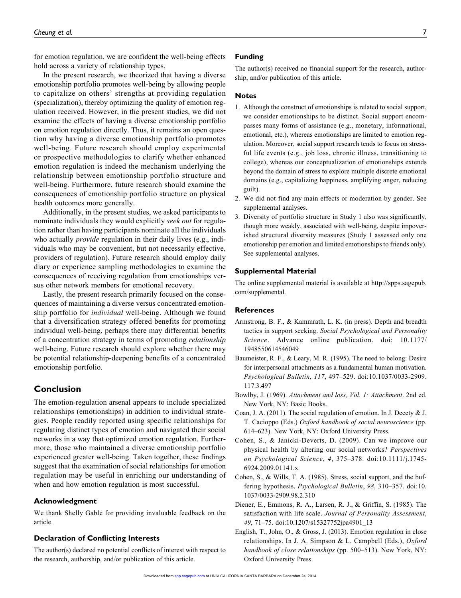for emotion regulation, we are confident the well-being effects hold across a variety of relationship types.

In the present research, we theorized that having a diverse emotionship portfolio promotes well-being by allowing people to capitalize on others' strengths at providing regulation (specialization), thereby optimizing the quality of emotion regulation received. However, in the present studies, we did not examine the effects of having a diverse emotionship portfolio on emotion regulation directly. Thus, it remains an open question why having a diverse emotionship portfolio promotes well-being. Future research should employ experimental or prospective methodologies to clarify whether enhanced emotion regulation is indeed the mechanism underlying the relationship between emotionship portfolio structure and well-being. Furthermore, future research should examine the consequences of emotionship portfolio structure on physical health outcomes more generally.

Additionally, in the present studies, we asked participants to nominate individuals they would explicitly seek out for regulation rather than having participants nominate all the individuals who actually *provide* regulation in their daily lives (e.g., individuals who may be convenient, but not necessarily effective, providers of regulation). Future research should employ daily diary or experience sampling methodologies to examine the consequences of receiving regulation from emotionships versus other network members for emotional recovery.

Lastly, the present research primarily focused on the consequences of maintaining a diverse versus concentrated emotionship portfolio for *individual* well-being. Although we found that a diversification strategy offered benefits for promoting individual well-being, perhaps there may differential benefits of a concentration strategy in terms of promoting relationship well-being. Future research should explore whether there may be potential relationship-deepening benefits of a concentrated emotionship portfolio.

# Conclusion

The emotion-regulation arsenal appears to include specialized relationships (emotionships) in addition to individual strategies. People readily reported using specific relationships for regulating distinct types of emotion and navigated their social networks in a way that optimized emotion regulation. Furthermore, those who maintained a diverse emotionship portfolio experienced greater well-being. Taken together, these findings suggest that the examination of social relationships for emotion regulation may be useful in enriching our understanding of when and how emotion regulation is most successful.

#### Acknowledgment

We thank Shelly Gable for providing invaluable feedback on the article.

#### Declaration of Conflicting Interests

The author(s) declared no potential conflicts of interest with respect to the research, authorship, and/or publication of this article.

#### Funding

The author(s) received no financial support for the research, authorship, and/or publication of this article.

#### **Notes**

- 1. Although the construct of emotionships is related to social support, we consider emotionships to be distinct. Social support encompasses many forms of assistance (e.g., monetary, informational, emotional, etc.), whereas emotionships are limited to emotion regulation. Moreover, social support research tends to focus on stressful life events (e.g., job loss, chronic illness, transitioning to college), whereas our conceptualization of emotionships extends beyond the domain of stress to explore multiple discrete emotional domains (e.g., capitalizing happiness, amplifying anger, reducing guilt).
- 2. We did not find any main effects or moderation by gender. See supplemental analyses.
- 3. Diversity of portfolio structure in Study 1 also was significantly, though more weakly, associated with well-being, despite impoverished structural diversity measures (Study 1 assessed only one emotionship per emotion and limited emotionships to friends only). See supplemental analyses.

#### Supplemental Material

The online supplemental material is available at [http://spps.sagepub.](http://spps.sagepub.com/supplemental) [com/supplemental](http://spps.sagepub.com/supplemental).

#### References

- Armstrong, B. F., & Kammrath, L. K. (in press). Depth and breadth tactics in support seeking. Social Psychological and Personality Science. Advance online publication. doi: 10.1177/ 1948550614546049
- Baumeister, R. F., & Leary, M. R. (1995). The need to belong: Desire for interpersonal attachments as a fundamental human motivation. Psychological Bulletin, 117, 497–529. doi:10.1037/0033-2909. 117.3.497
- Bowlby, J. (1969). Attachment and loss, Vol. 1: Attachment. 2nd ed. New York, NY: Basic Books.
- Coan, J. A. (2011). The social regulation of emotion. In J. Decety & J. T. Cacioppo (Eds.) Oxford handbook of social neuroscience (pp. 614–623). New York, NY: Oxford University Press.
- Cohen, S., & Janicki-Deverts, D. (2009). Can we improve our physical health by altering our social networks? Perspectives on Psychological Science, 4, 375–378. doi:10.1111/j.1745- 6924.2009.01141.x
- Cohen, S., & Wills, T. A. (1985). Stress, social support, and the buffering hypothesis. Psychological Bulletin, 98, 310–357. doi:10. 1037/0033-2909.98.2.310
- Diener, E., Emmons, R. A., Larsen, R. J., & Griffin, S. (1985). The satisfaction with life scale. Journal of Personality Assessment, 49, 71–75. doi:10.1207/s15327752jpa4901\_13
- English, T., John, O., & Gross, J. (2013). Emotion regulation in close relationships. In J. A. Simpson & L. Campbell (Eds.), Oxford handbook of close relationships (pp. 500-513). New York, NY: Oxford University Press.